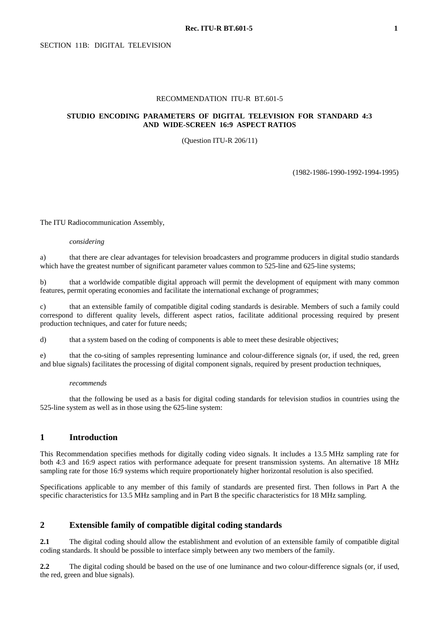#### RECOMMENDATION ITU-R BT.601-5

#### **STUDIO ENCODING PARAMETERS OF DIGITAL TELEVISION FOR STANDARD 4:3 AND WIDE-SCREEN 16:9 ASPECT RATIOS**

(Question ITU-R 206/11)

(1982-1986-1990-1992-1994-1995)

The ITU Radiocommunication Assembly,

#### *considering*

a) that there are clear advantages for television broadcasters and programme producers in digital studio standards which have the greatest number of significant parameter values common to 525-line and 625-line systems;

b) that a worldwide compatible digital approach will permit the development of equipment with many common features, permit operating economies and facilitate the international exchange of programmes;

c) that an extensible family of compatible digital coding standards is desirable. Members of such a family could correspond to different quality levels, different aspect ratios, facilitate additional processing required by present production techniques, and cater for future needs;

d) that a system based on the coding of components is able to meet these desirable objectives;

e) that the co-siting of samples representing luminance and colour-difference signals (or, if used, the red, green and blue signals) facilitates the processing of digital component signals, required by present production techniques,

#### *recommends*

that the following be used as a basis for digital coding standards for television studios in countries using the 525-line system as well as in those using the 625-line system:

#### **1 Introduction**

This Recommendation specifies methods for digitally coding video signals. It includes a 13.5 MHz sampling rate for both 4:3 and 16:9 aspect ratios with performance adequate for present transmission systems. An alternative 18 MHz sampling rate for those 16:9 systems which require proportionately higher horizontal resolution is also specified.

Specifications applicable to any member of this family of standards are presented first. Then follows in Part A the specific characteristics for 13.5 MHz sampling and in Part B the specific characteristics for 18 MHz sampling.

## **2 Extensible family of compatible digital coding standards**

**2.1** The digital coding should allow the establishment and evolution of an extensible family of compatible digital coding standards. It should be possible to interface simply between any two members of the family.

**2.2** The digital coding should be based on the use of one luminance and two colour-difference signals (or, if used, the red, green and blue signals).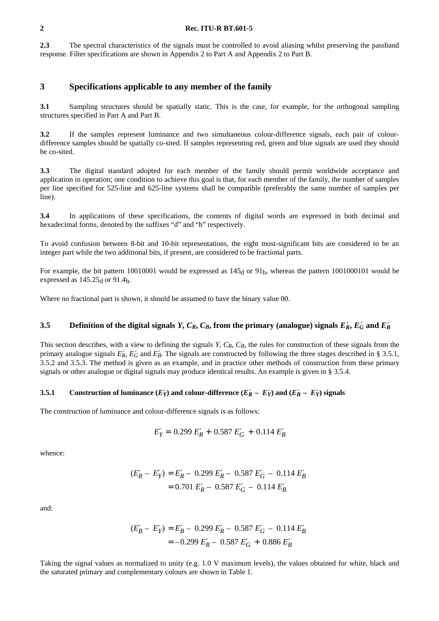**2.3** The spectral characteristics of the signals must be controlled to avoid aliasing whilst preserving the passband response. Filter specifications are shown in Appendix 2 to Part A and Appendix 2 to Part B.

## **3 Specifications applicable to any member of the family**

**3.1** Sampling structures should be spatially static. This is the case, for example, for the orthogonal sampling structures specified in Part A and Part B.

**3.2** If the samples represent luminance and two simultaneous colour-difference signals, each pair of colourdifference samples should be spatially co-sited. If samples representing red, green and blue signals are used they should be co-sited.

**3.3** The digital standard adopted for each member of the family should permit worldwide acceptance and application in operation; one condition to achieve this goal is that, for each member of the family, the number of samples per line specified for 525-line and 625-line systems shall be compatible (preferably the same number of samples per line).

**3.4** In applications of these specifications, the contents of digital words are expressed in both decimal and hexadecimal forms, denoted by the suffixes "d" and "h" respectively.

To avoid confusion between 8-bit and 10-bit representations, the eight most-significant bits are considered to be an integer part while the two additional bits, if present, are considered to be fractional parts.

For example, the bit pattern 10010001 would be expressed as  $145<sub>d</sub>$  or 91<sub>h</sub>, whereas the pattern 1001000101 would be expressed as  $145.25<sub>d</sub>$  or 91.4h.

Where no fractional part is shown, it should be assumed to have the binary value 00.

## **3.5** Definition of the digital signals *Y*,  $C_R$ ,  $C_B$ , from the primary (analogue) signals  $E'_R$ ,  $E'_G$  and  $E'_B$

This section describes, with a view to defining the signals Y,  $C_R$ ,  $C_B$ , the rules for construction of these signals from the primary analogue signals  $E'_R$ ,  $E'_G$  and  $E'_R$ . The signals are constructed by following the three stages described in § 3.5.1, 3.5.2 and 3.5.3. The method is given as an example, and in practice other methods of construction from these primary signals or other analogue or digital signals may produce identical results. An example is given in § 3.5.4.

#### **3.5.1** Construction of luminance  $(E'_Y)$  and colour-difference  $(E'_R - E'_Y)$  and  $(E'_B - E'_Y)$  signals

The construction of luminance and colour-difference signals is as follows:

$$
E'_Y = 0.299 E'_R + 0.587 E'_G + 0.114 E'_B
$$

whence:

$$
(E'_R - E'_Y) = E'_R - 0.299 E'_R - 0.587 E'_G - 0.114 E'_B
$$
  
= 0.701 E'\_R - 0.587 E'\_G - 0.114 E'\_B

and:

$$
(E'_B - E'_Y) = E'_B - 0.299 E'_R - 0.587 E'_G - 0.114 E'_B
$$
  
= -0.299 E'\_R - 0.587 E'\_G + 0.886 E'\_B

Taking the signal values as normalized to unity (e.g. 1.0 V maximum levels), the values obtained for white, black and the saturated primary and complementary colours are shown in Table 1.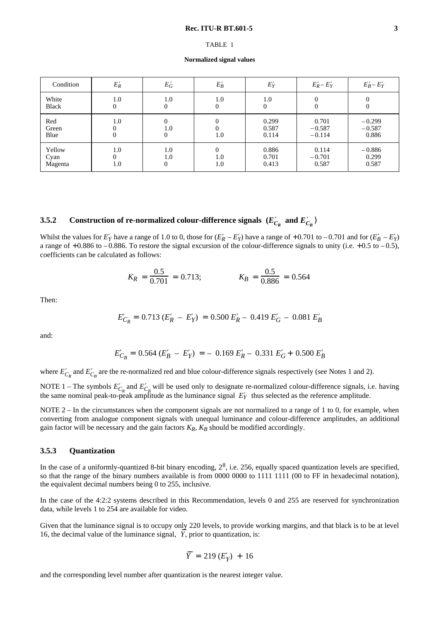#### TABLE 1

**Normalized signal values**

| Condition                 | $E_R'$          | $E_G'$                                    | $E_B'$                 | $E'_Y$                  | $E'_R - E'_Y$                 | $E'_B - E'_Y$                 |
|---------------------------|-----------------|-------------------------------------------|------------------------|-------------------------|-------------------------------|-------------------------------|
| White<br>Black            | 1.0<br>$\Omega$ | 1.0<br>$\boldsymbol{0}$                   | 1.0<br>$\Omega$        | 1.0<br>$\Omega$         | $\Omega$                      | 0<br>0                        |
| Red<br>Green<br>Blue      | 1.0<br>$\Omega$ | $\overline{0}$<br>1.0<br>$\boldsymbol{0}$ | $\Omega$<br>1.0        | 0.299<br>0.587<br>0.114 | 0.701<br>$-0.587$<br>$-0.114$ | $-0.299$<br>$-0.587$<br>0.886 |
| Yellow<br>Cyan<br>Magenta | 1.0<br>1.0      | 1.0<br>1.0<br>$\mathbf{0}$                | $\Omega$<br>1.0<br>1.0 | 0.886<br>0.701<br>0.413 | 0.114<br>$-0.701$<br>0.587    | $-0.886$<br>0.299<br>0.587    |

# **3.5.2** Construction of re-normalized colour-difference signals  $(E_{C_R}^{\prime}$  and  $E_{C_B}^{\prime})$

Whilst the values for  $E'_Y$  have a range of 1.0 to 0, those for  $(E'_R - E'_Y)$  have a range of +0.701 to -0.701 and for  $(E'_B - E'_Y)$ a range of  $+0.886$  to  $-0.886$ . To restore the signal excursion of the colour-difference signals to unity (i.e.  $+0.5$  to  $-0.5$ ), coefficients can be calculated as follows:

$$
K_R = \frac{0.5}{0.701} = 0.713;
$$
  $K_B = \frac{0.5}{0.886} = 0.564$ 

Then:

$$
E'_{C_R} = 0.713 \ (E'_R - E'_Y) = 0.500 \ E'_R - 0.419 \ E'_G - 0.081 \ E'_B
$$

and:

$$
E'_{C_B} = 0.564 (E'_B - E'_Y) = -0.169 E'_R - 0.331 E'_G + 0.500 E'_B
$$

where  $E'_{C_R}$  and  $E'_{C_B}$  are the re-normalized red and blue colour-difference signals respectively (see Notes 1 and 2).

NOTE 1 – The symbols  $E'_{C_R}$  and  $E'_{C_R}$  will be used only to designate re-normalized colour-difference signals, i.e. having the same nominal peak-to-peak amplitude as the luminance signal  $E'_Y$  thus selected as the reference amplitude.

NOTE 2 – In the circumstances when the component signals are not normalized to a range of 1 to 0, for example, when converting from analogue component signals with unequal luminance and colour-difference amplitudes, an additional gain factor will be necessary and the gain factors  $K_R$ ,  $K_B$  should be modified accordingly.

#### **3.5.3 Quantization**

In the case of a uniformly-quantized 8-bit binary encoding,  $2^8$ , i.e. 256, equally spaced quantization levels are specified, so that the range of the binary numbers available is from 0000 0000 to 1111 1111 (00 to FF in hexadecimal notation), the equivalent decimal numbers being 0 to 255, inclusive.

In the case of the 4:2:2 systems described in this Recommendation, levels 0 and 255 are reserved for synchronization data, while levels 1 to 254 are available for video.

Given that the luminance signal is to occupy only 220 levels, to provide working margins, and that black is to be at level 16, the decimal value of the luminance signal,  $\overline{Y}$ , prior to quantization, is:

$$
\overline{Y} = 219 \left( E'_Y \right) + 16
$$

and the corresponding level number after quantization is the nearest integer value.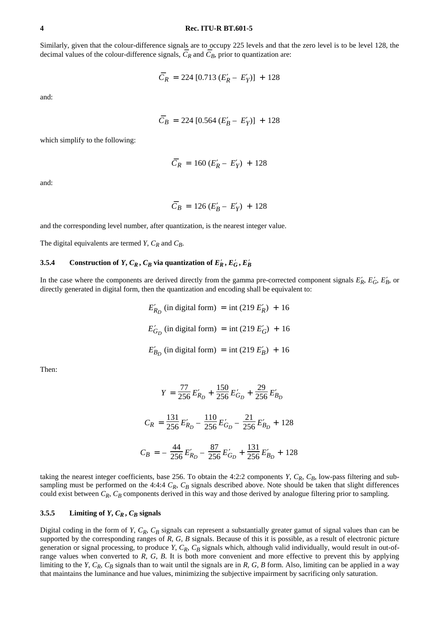Similarly, given that the colour-difference signals are to occupy 225 levels and that the zero level is to be level 128, the decimal values of the colour-difference signals,  $\overline{C}_R$  and  $\overline{C}_B$ , prior to quantization are:

$$
\overline{C}_R = 224 [0.713 (E_R' - E_Y')] + 128
$$

and:

$$
\overline{C}_B = 224 [0.564 (E'_B - E'_Y)] + 128
$$

which simplify to the following:

$$
\overline{C}_R = 160 (E_R' - E_Y') + 128
$$

and:

$$
\overline{C}_B = 126 (E'_B - E'_Y) + 128
$$

and the corresponding level number, after quantization, is the nearest integer value.

The digital equivalents are termed *Y*,  $C_R$  and  $C_B$ .

#### **3.5.4** Construction of *Y*,  $C_R$ ,  $C_B$  via quantization of  $E_R'$ ,  $E_G'$ ,  $E_B'$

In the case where the components are derived directly from the gamma pre-corrected component signals  $E'_R$ ,  $E'_G$ ,  $E'_B$ , or directly generated in digital form, then the quantization and encoding shall be equivalent to:

> $E'_{R_D}$  (in digital form) = int (219  $E'_R$ ) + 16  $E'_{G_D}$  (in digital form) = int (219  $E'_{G}$ ) + 16  $E'_{B_D}$  (in digital form) = int (219  $E'_B$ ) + 16

Then:

$$
Y = \frac{77}{256} E'_{R_D} + \frac{150}{256} E'_{G_D} + \frac{29}{256} E'_{B_D}
$$

$$
C_R = \frac{131}{256} E'_{R_D} - \frac{110}{256} E'_{G_D} - \frac{21}{256} E'_{B_D} + 128
$$

$$
C_B = -\frac{44}{256} E'_{R_D} - \frac{87}{256} E'_{G_D} + \frac{131}{256} E'_{B_D} + 128
$$

taking the nearest integer coefficients, base 256. To obtain the 4:2:2 components *Y*,  $C_R$ ,  $C_B$ , low-pass filtering and subsampling must be performed on the 4:4:4  $C_R$ ,  $C_B$  signals described above. Note should be taken that slight differences could exist between  $C_R$ ,  $C_B$  components derived in this way and those derived by analogue filtering prior to sampling.

#### **3.5.5** Limiting of  $Y, C_R, C_B$  signals

Digital coding in the form of *Y*,  $C_R$ ,  $C_B$  signals can represent a substantially greater gamut of signal values than can be supported by the corresponding ranges of *R*, *G*, *B* signals. Because of this it is possible, as a result of electronic picture generation or signal processing, to produce *Y*,  $C_R$ ,  $C_B$  signals which, although valid individually, would result in out-ofrange values when converted to *R*, *G*, *B*. It is both more convenient and more effective to prevent this by applying limiting to the *Y*,  $C_R$ ,  $C_B$  signals than to wait until the signals are in *R*, *G*, *B* form. Also, limiting can be applied in a way that maintains the luminance and hue values, minimizing the subjective impairment by sacrificing only saturation.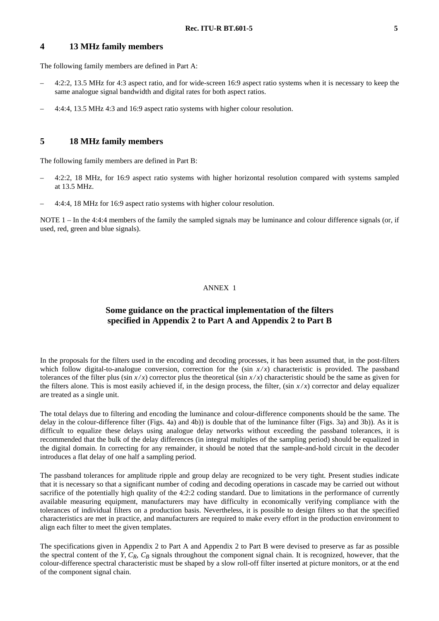## **4 13 MHz family members**

The following family members are defined in Part A:

- 4:2:2, 13.5 MHz for 4:3 aspect ratio, and for wide-screen 16:9 aspect ratio systems when it is necessary to keep the same analogue signal bandwidth and digital rates for both aspect ratios.
- 4:4:4, 13.5 MHz 4:3 and 16:9 aspect ratio systems with higher colour resolution.

# **5 18 MHz family members**

The following family members are defined in Part B:

- 4:2:2, 18 MHz, for 16:9 aspect ratio systems with higher horizontal resolution compared with systems sampled at 13.5 MHz.
- 4:4:4, 18 MHz for 16:9 aspect ratio systems with higher colour resolution.

NOTE  $1$  – In the 4:4:4 members of the family the sampled signals may be luminance and colour difference signals (or, if used, red, green and blue signals).

#### ANNEX 1

## **Some guidance on the practical implementation of the filters specified in Appendix 2 to Part A and Appendix 2 to Part B**

In the proposals for the filters used in the encoding and decoding processes, it has been assumed that, in the post-filters which follow digital-to-analogue conversion, correction for the  $(\sin x/x)$  characteristic is provided. The passband tolerances of the filter plus (sin  $x/x$ ) corrector plus the theoretical (sin  $x/x$ ) characteristic should be the same as given for the filters alone. This is most easily achieved if, in the design process, the filter,  $(\sin x/x)$  corrector and delay equalizer are treated as a single unit.

The total delays due to filtering and encoding the luminance and colour-difference components should be the same. The delay in the colour-difference filter (Figs. 4a) and 4b)) is double that of the luminance filter (Figs. 3a) and 3b)). As it is difficult to equalize these delays using analogue delay networks without exceeding the passband tolerances, it is recommended that the bulk of the delay differences (in integral multiples of the sampling period) should be equalized in the digital domain. In correcting for any remainder, it should be noted that the sample-and-hold circuit in the decoder introduces a flat delay of one half a sampling period.

The passband tolerances for amplitude ripple and group delay are recognized to be very tight. Present studies indicate that it is necessary so that a significant number of coding and decoding operations in cascade may be carried out without sacrifice of the potentially high quality of the 4:2:2 coding standard. Due to limitations in the performance of currently available measuring equipment, manufacturers may have difficulty in economically verifying compliance with the tolerances of individual filters on a production basis. Nevertheless, it is possible to design filters so that the specified characteristics are met in practice, and manufacturers are required to make every effort in the production environment to align each filter to meet the given templates.

The specifications given in Appendix 2 to Part A and Appendix 2 to Part B were devised to preserve as far as possible the spectral content of the *Y*,  $C_R$ ,  $C_R$  signals throughout the component signal chain. It is recognized, however, that the colour-difference spectral characteristic must be shaped by a slow roll-off filter inserted at picture monitors, or at the end of the component signal chain.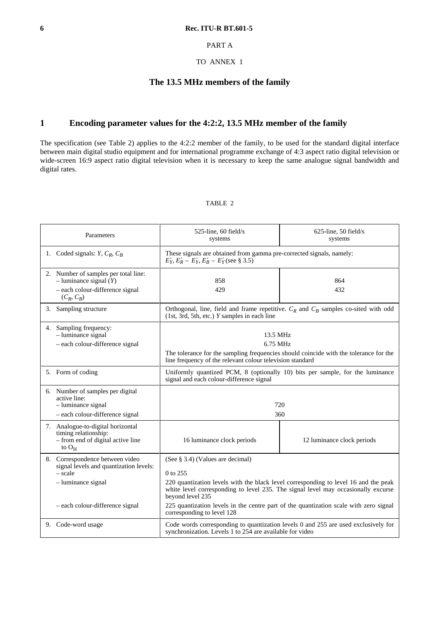## PART A

#### TO ANNEX 1

## **The 13.5 MHz members of the family**

# **1 Encoding parameter values for the 4:2:2, 13.5 MHz member of the family**

The specification (see Table 2) applies to the 4:2:2 member of the family, to be used for the standard digital interface between main digital studio equipment and for international programme exchange of 4:3 aspect ratio digital television or wide-screen 16:9 aspect ratio digital television when it is necessary to keep the same analogue signal bandwidth and digital rates.

#### TABLE 2

| Parameters |                                                                                                                                                 | $525$ -line, 60 field/s<br>systems                                                                                                                                                                                                                                                                                                    | $625$ -line, 50 field/s<br>systems |  |
|------------|-------------------------------------------------------------------------------------------------------------------------------------------------|---------------------------------------------------------------------------------------------------------------------------------------------------------------------------------------------------------------------------------------------------------------------------------------------------------------------------------------|------------------------------------|--|
|            | 1. Coded signals: $Y, C_R, C_B$                                                                                                                 | These signals are obtained from gamma pre-corrected signals, namely:<br>$E'_Y, E'_R - E'_Y, E'_B - E'_Y$ (see § 3.5)                                                                                                                                                                                                                  |                                    |  |
|            | 2. Number of samples per total line:<br>$-$ luminance signal $(Y)$<br>- each colour-difference signal<br>$(C_R, C_B)$                           | 858<br>429                                                                                                                                                                                                                                                                                                                            | 864<br>432                         |  |
| 3.         | Sampling structure                                                                                                                              | Orthogonal, line, field and frame repetitive. $C_R$ and $C_B$ samples co-sited with odd<br>(1st, 3rd, 5th, etc.) Y samples in each line                                                                                                                                                                                               |                                    |  |
|            | 4. Sampling frequency:<br>$-$ luminance signal<br>- each colour-difference signal                                                               | 13.5 MHz<br>6.75 MHz<br>The tolerance for the sampling frequencies should coincide with the tolerance for the<br>line frequency of the relevant colour television standard                                                                                                                                                            |                                    |  |
|            | 5. Form of coding                                                                                                                               | Uniformly quantized PCM, 8 (optionally 10) bits per sample, for the luminance<br>signal and each colour-difference signal                                                                                                                                                                                                             |                                    |  |
|            | 6. Number of samples per digital<br>active line:<br>$-$ luminance signal<br>- each colour-difference signal                                     | 720<br>360                                                                                                                                                                                                                                                                                                                            |                                    |  |
|            | 7. Analogue-to-digital horizontal<br>timing relationship:<br>- from end of digital active line<br>to $O_H$                                      | 16 luminance clock periods                                                                                                                                                                                                                                                                                                            | 12 luminance clock periods         |  |
|            | 8. Correspondence between video<br>signal levels and quantization levels:<br>- scale<br>$-$ luminance signal<br>- each colour-difference signal | (See § 3.4) (Values are decimal)<br>0 to 255<br>220 quantization levels with the black level corresponding to level 16 and the peak<br>white level corresponding to level 235. The signal level may occasionally excurse<br>beyond level 235<br>225 quantization levels in the centre part of the quantization scale with zero signal |                                    |  |
|            | 9. Code-word usage                                                                                                                              | corresponding to level 128<br>Code words corresponding to quantization levels 0 and 255 are used exclusively for<br>synchronization. Levels 1 to 254 are available for video                                                                                                                                                          |                                    |  |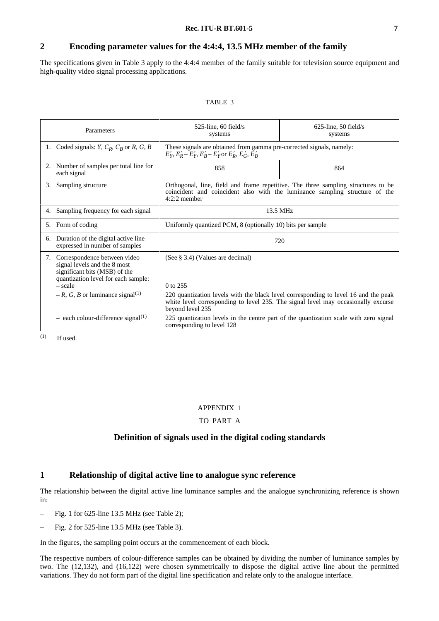# **2 Encoding parameter values for the 4:4:4, 13.5 MHz member of the family**

The specifications given in Table 3 apply to the 4:4:4 member of the family suitable for television source equipment and high-quality video signal processing applications.

#### TABLE 3

| Parameters                                                                                                                                              | $525$ -line, 60 field/s<br>systems                                                                                                                                                           | $625$ -line, 50 field/s<br>systems |  |
|---------------------------------------------------------------------------------------------------------------------------------------------------------|----------------------------------------------------------------------------------------------------------------------------------------------------------------------------------------------|------------------------------------|--|
| 1. Coded signals: $Y, C_R, C_R$ or $R, G, B$                                                                                                            | These signals are obtained from gamma pre-corrected signals, namely:<br>$E'_Y, E'_R - E'_Y, E'_R - E'_Y$ or $E'_R, E'_G, E'_R$                                                               |                                    |  |
| 2. Number of samples per total line for<br>each signal                                                                                                  | 858                                                                                                                                                                                          | 864                                |  |
| Sampling structure<br>3.                                                                                                                                | Orthogonal, line, field and frame repetitive. The three sampling structures to be<br>coincident and coincident also with the luminance sampling structure of the<br>$4:2:2$ member           |                                    |  |
| Sampling frequency for each signal<br>4.                                                                                                                | 13.5 MHz                                                                                                                                                                                     |                                    |  |
| Form of coding<br>5.                                                                                                                                    | Uniformly quantized PCM, 8 (optionally 10) bits per sample                                                                                                                                   |                                    |  |
| 6. Duration of the digital active line<br>expressed in number of samples                                                                                | 720                                                                                                                                                                                          |                                    |  |
| Correspondence between video<br>7.<br>signal levels and the 8 most<br>significant bits (MSB) of the<br>quantization level for each sample:<br>$- scale$ | (See $\S$ 3.4) (Values are decimal)<br>0 to 255                                                                                                                                              |                                    |  |
| $-R$ , G, B or luminance signal <sup>(1)</sup>                                                                                                          | 220 quantization levels with the black level corresponding to level 16 and the peak<br>white level corresponding to level 235. The signal level may occasionally excurse<br>beyond level 235 |                                    |  |
| $-$ each colour-difference signal <sup>(1)</sup>                                                                                                        | 225 quantization levels in the centre part of the quantization scale with zero signal<br>corresponding to level 128                                                                          |                                    |  |

 $(1)$  If used.

#### APPENDIX 1

#### TO PART A

## **Definition of signals used in the digital coding standards**

## **1 Relationship of digital active line to analogue sync reference**

The relationship between the digital active line luminance samples and the analogue synchronizing reference is shown in:

- Fig. 1 for 625-line 13.5 MHz (see Table 2);
- Fig. 2 for 525-line 13.5 MHz (see Table 3).

In the figures, the sampling point occurs at the commencement of each block.

The respective numbers of colour-difference samples can be obtained by dividing the number of luminance samples by two. The (12,132), and (16,122) were chosen symmetrically to dispose the digital active line about the permitted variations. They do not form part of the digital line specification and relate only to the analogue interface.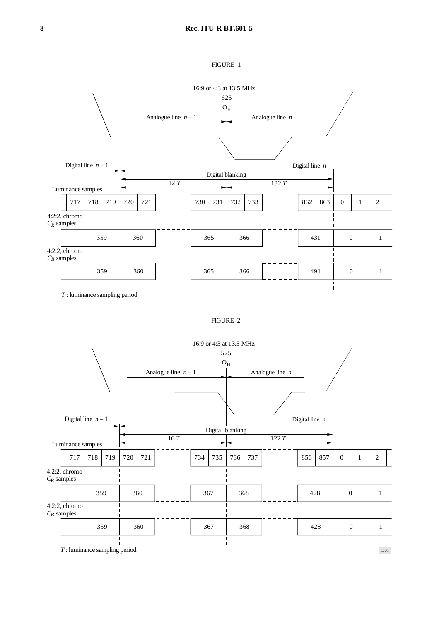



*T* : luminance sampling period

D01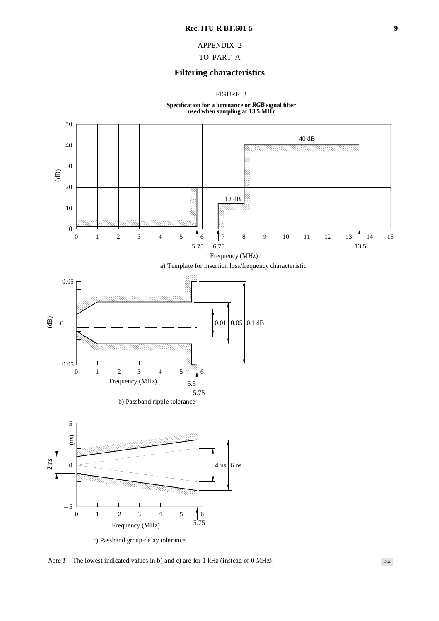## APPENDIX 2

## TO PART A

## **Filtering characteristics**

FIGURE 3





c) Passband group-delay tolerance

*Note 1* – The lowest indicated values in b) and c) are for 1 kHz (instead of 0 MHz).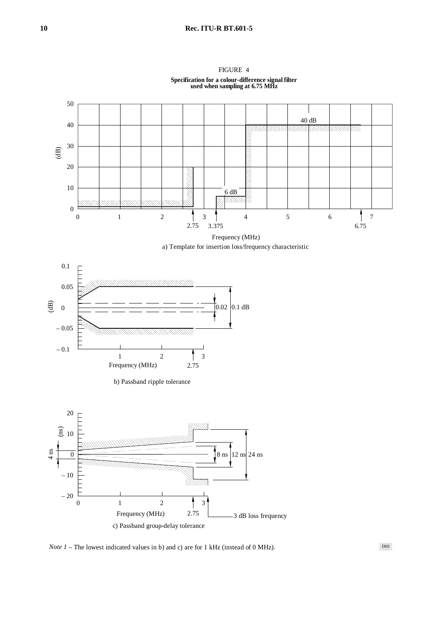

# FIGURE 4





b) Passband ripple tolerance



*Note 1* – The lowest indicated values in b) and c) are for 1 kHz (instead of 0 MHz).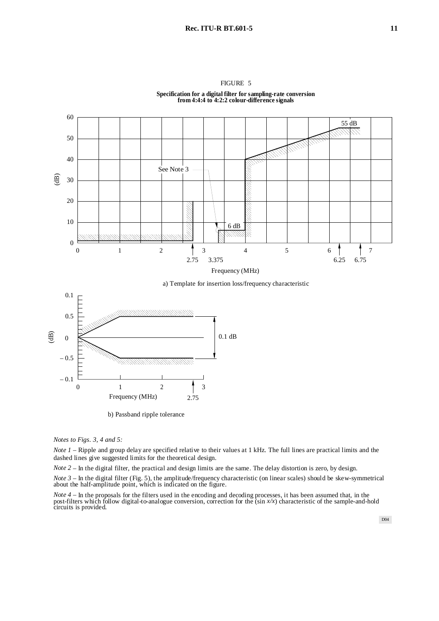

FIGURE 5 **Specification for a digital filter for sampling-rate conversion from 4:4:4 to 4:2:2 colour-difference signals**

a) Template for insertion loss/frequency characteristic



b) Passband ripple tolerance

*Notes to Figs. 3, 4 and 5:*

*Note 1* – Ripple and group delay are specified relative to their values at 1 kHz. The full lines are practical limits and the dashed lines give suggested limits for the theoretical design.

*Note 2* – In the digital filter, the practical and design limits are the same. The delay distortion is zero, by design.

*Note 3* – In the digital filter (Fig. 5), the amplitude/frequency characteristic (on linear scales) should be skew-symmetrical about the half-amplitude point, which is indicated on the figure.

*Note 4 –* In the proposals for the filters used in the encoding and decoding processes, it has been assumed that, in the post-filters which follow digital-to-analogue conversion, correction for the (sin *x/x*) characteristic of the sample-and-hold circuits is provided.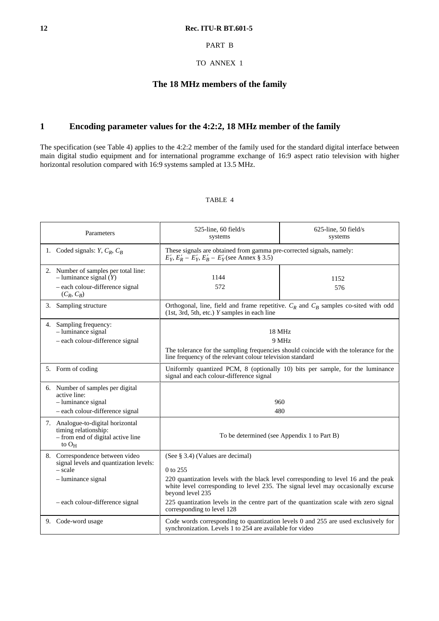## PART B

TO ANNEX 1

# **The 18 MHz members of the family**

# **1 Encoding parameter values for the 4:2:2, 18 MHz member of the family**

The specification (see Table 4) applies to the 4:2:2 member of the family used for the standard digital interface between main digital studio equipment and for international programme exchange of 16:9 aspect ratio television with higher horizontal resolution compared with 16:9 systems sampled at 13.5 MHz.

## TABLE 4

| Parameters |                                                                                                                       | 525-line, 60 field/s<br>systems                                                                                                                                                                                                              | 625-line, 50 field/s<br>systems |  |
|------------|-----------------------------------------------------------------------------------------------------------------------|----------------------------------------------------------------------------------------------------------------------------------------------------------------------------------------------------------------------------------------------|---------------------------------|--|
|            | 1. Coded signals: $Y, C_R, C_B$                                                                                       | These signals are obtained from gamma pre-corrected signals, namely:<br>$E'_Y, E'_R - E'_Y, E'_B - E'_Y$ (see Annex § 3.5)                                                                                                                   |                                 |  |
|            | 2. Number of samples per total line:<br>$-$ luminance signal $(Y)$<br>- each colour-difference signal<br>$(C_R, C_B)$ | 1144<br>572                                                                                                                                                                                                                                  | 1152<br>576                     |  |
| 3.         | Sampling structure                                                                                                    | Orthogonal, line, field and frame repetitive. $C_R$ and $C_B$ samples co-sited with odd<br>$(1st, 3rd, 5th, etc.)$ Y samples in each line                                                                                                    |                                 |  |
|            | 4. Sampling frequency:<br>$-$ luminance signal<br>- each colour-difference signal                                     | 18 MHz<br>9 MHz<br>The tolerance for the sampling frequencies should coincide with the tolerance for the<br>line frequency of the relevant colour television standard                                                                        |                                 |  |
|            | 5. Form of coding                                                                                                     | Uniformly quantized PCM, 8 (optionally 10) bits per sample, for the luminance<br>signal and each colour-difference signal                                                                                                                    |                                 |  |
|            | 6. Number of samples per digital<br>active line:<br>$-$ luminance signal<br>- each colour-difference signal           | 960<br>480                                                                                                                                                                                                                                   |                                 |  |
|            | 7. Analogue-to-digital horizontal<br>timing relationship:<br>- from end of digital active line<br>to $O_H$            | To be determined (see Appendix 1 to Part B)                                                                                                                                                                                                  |                                 |  |
|            | 8. Correspondence between video<br>signal levels and quantization levels:<br>$- scale$<br>- luminance signal          | (See § 3.4) (Values are decimal)<br>0 to 255<br>220 quantization levels with the black level corresponding to level 16 and the peak<br>white level corresponding to level 235. The signal level may occasionally excurse<br>beyond level 235 |                                 |  |
|            | - each colour-difference signal                                                                                       | 225 quantization levels in the centre part of the quantization scale with zero signal<br>corresponding to level 128                                                                                                                          |                                 |  |
|            | 9. Code-word usage                                                                                                    | Code words corresponding to quantization levels 0 and 255 are used exclusively for<br>synchronization. Levels 1 to 254 are available for video                                                                                               |                                 |  |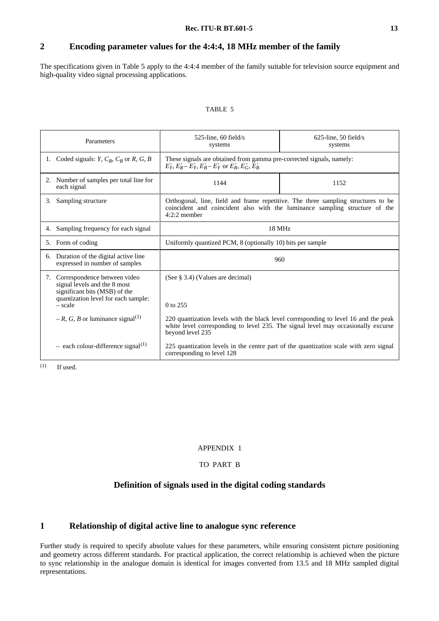# **2 Encoding parameter values for the 4:4:4, 18 MHz member of the family**

The specifications given in Table 5 apply to the 4:4:4 member of the family suitable for television source equipment and high-quality video signal processing applications.

#### TABLE 5

| Parameters                                       |                                                                                                                                                      | $525$ -line, 60 field/s<br>systems                                                                                                                                                           | $625$ -line, 50 field/s<br>systems |  |
|--------------------------------------------------|------------------------------------------------------------------------------------------------------------------------------------------------------|----------------------------------------------------------------------------------------------------------------------------------------------------------------------------------------------|------------------------------------|--|
|                                                  | 1. Coded signals: $Y, C_R, C_R$ or $R, G, B$                                                                                                         | These signals are obtained from gamma pre-corrected signals, namely:<br>$E'_Y, E'_R - E'_Y, E'_R - E'_Y$ or $E'_R, E'_G, E'_R$                                                               |                                    |  |
|                                                  | 2. Number of samples per total line for<br>each signal                                                                                               | 1144                                                                                                                                                                                         | 1152                               |  |
| 3.                                               | Sampling structure                                                                                                                                   | Orthogonal, line, field and frame repetitive. The three sampling structures to be<br>coincident and coincident also with the luminance sampling structure of the<br>$4:2:2$ member           |                                    |  |
| 4.                                               | Sampling frequency for each signal                                                                                                                   | 18 MHz                                                                                                                                                                                       |                                    |  |
|                                                  | 5. Form of coding                                                                                                                                    | Uniformly quantized PCM, 8 (optionally 10) bits per sample                                                                                                                                   |                                    |  |
| 6.                                               | Duration of the digital active line<br>expressed in number of samples                                                                                | 960                                                                                                                                                                                          |                                    |  |
|                                                  | 7. Correspondence between video<br>signal levels and the 8 most<br>significant bits (MSB) of the<br>quantization level for each sample:<br>$- scale$ | (See $\S$ 3.4) (Values are decimal)<br>$0$ to 255                                                                                                                                            |                                    |  |
| $-R$ , G, B or luminance signal <sup>(1)</sup>   |                                                                                                                                                      | 220 quantization levels with the black level corresponding to level 16 and the peak<br>white level corresponding to level 235. The signal level may occasionally excurse<br>beyond level 235 |                                    |  |
| $-$ each colour-difference signal <sup>(1)</sup> |                                                                                                                                                      | 225 quantization levels in the centre part of the quantization scale with zero signal<br>corresponding to level 128                                                                          |                                    |  |

 $(1)$  If used.

#### APPENDIX 1

## TO PART B

## **Definition of signals used in the digital coding standards**

## **1 Relationship of digital active line to analogue sync reference**

Further study is required to specify absolute values for these parameters, while ensuring consistent picture positioning and geometry across different standards. For practical application, the correct relationship is achieved when the picture to sync relationship in the analogue domain is identical for images converted from 13.5 and 18 MHz sampled digital representations.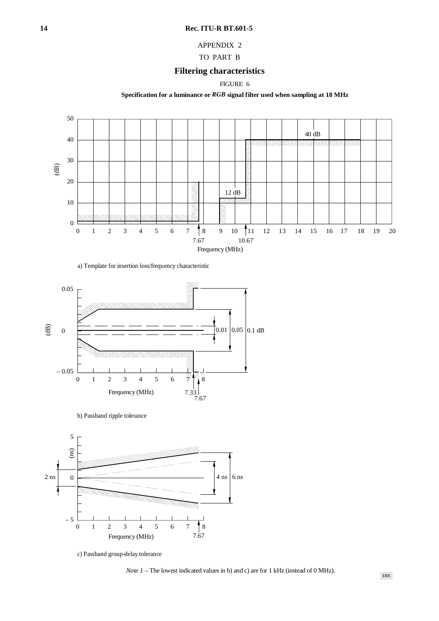## APPENDIX 2

## TO PART B

# **Filtering characteristics**

FIGURE 6

**Specification for a luminance or** *RGB* **signal filter used when sampling at 18 MHz**



a) Template for insertion loss/frequency characteristic



b) Passband ripple tolerance



c) Passband group-delay tolerance

*Note 1* – The lowest indicated values in b) and c) are for 1 kHz (instead of 0 MHz).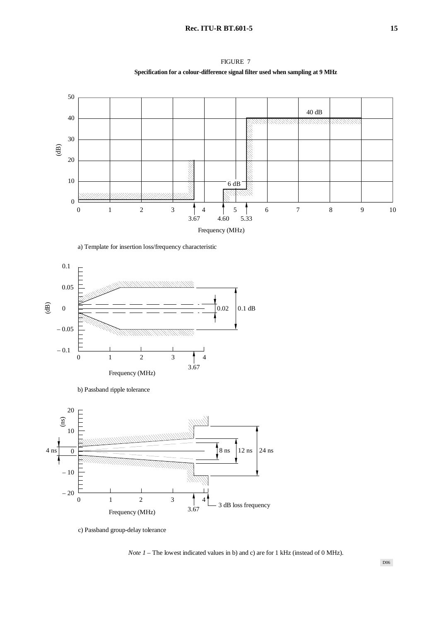











c) Passband group-delay tolerance

*Note 1* – The lowest indicated values in b) and c) are for 1 kHz (instead of 0 MHz).